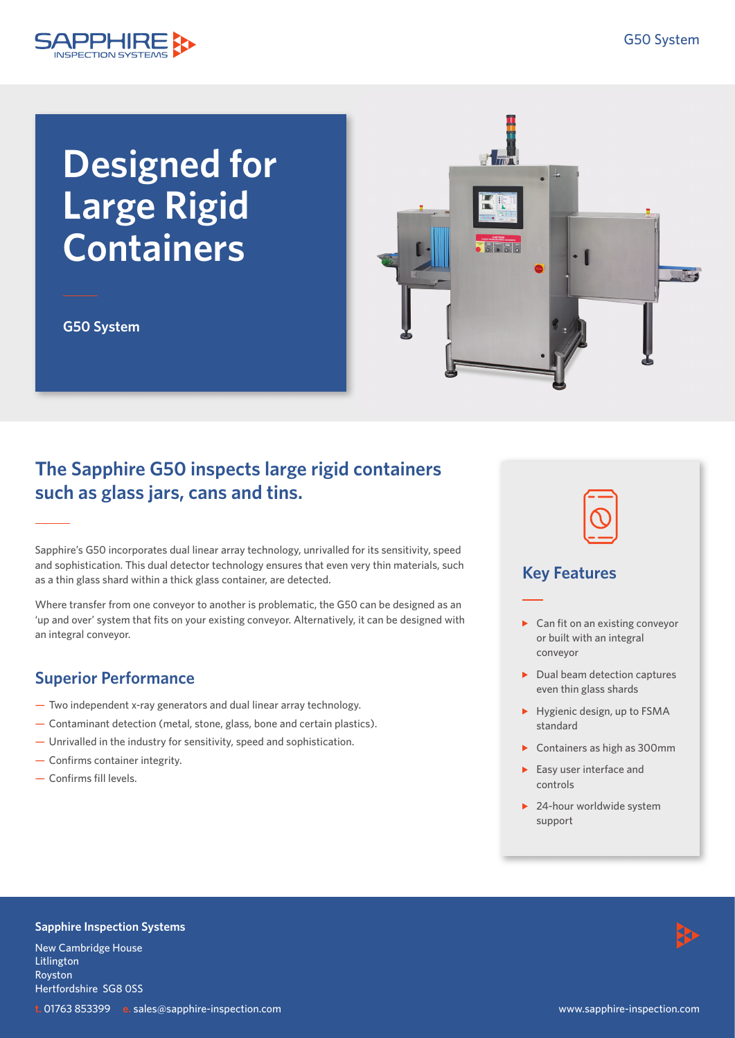

# **Designed for Large Rigid Containers**

**G50 System**



# **The Sapphire G50 inspects large rigid containers such as glass jars, cans and tins.**

Sapphire's G50 incorporates dual linear array technology, unrivalled for its sensitivity, speed and sophistication. This dual detector technology ensures that even very thin materials, such as a thin glass shard within a thick glass container, are detected.

Where transfer from one conveyor to another is problematic, the G50 can be designed as an 'up and over' system that fits on your existing conveyor. Alternatively, it can be designed with an integral conveyor.

## **Superior Performance**

- Two independent x-ray generators and dual linear array technology.
- Contaminant detection (metal, stone, glass, bone and certain plastics).
- Unrivalled in the industry for sensitivity, speed and sophistication.
- Confirms container integrity.
- Confirms fill levels.



### **Key Features**

- $\triangleright$  Can fit on an existing convevor or built with an integral conveyor
- $\blacktriangleright$  Dual beam detection captures even thin glass shards
- Hygienic design, up to FSMA standard
- ▶ Containers as high as 300mm
- $\blacktriangleright$  Easy user interface and controls
- ▶ 24-hour worldwide system support

#### **Sapphire Inspection Systems**

New Cambridge House Litlington Royston Hertfordshire SG8 0SS